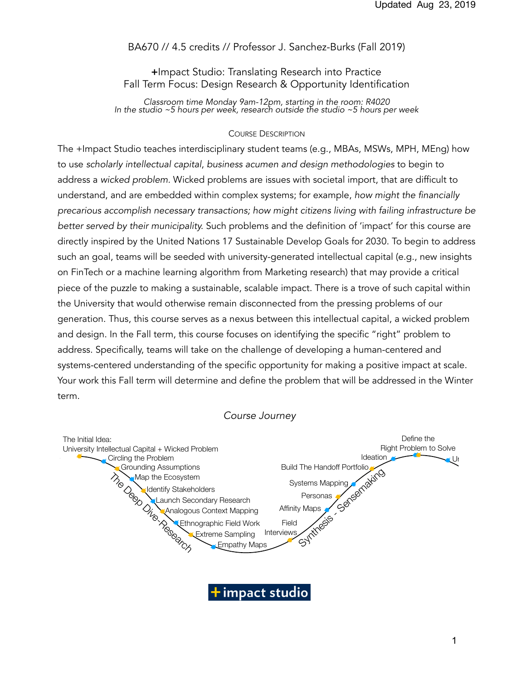# BA670 // 4.5 credits // Professor J. Sanchez-Burks (Fall 2019)

# +Impact Studio: Translating Research into Practice Fall Term Focus: Design Research & Opportunity Identification

*Classroom time Monday 9am-12pm, starting in the room: R4020 In the studio ~5 hours per week, research outside the studio ~5 hours per week* 

#### COURSE DESCRIPTION

The +Impact Studio teaches interdisciplinary student teams (e.g., MBAs, MSWs, MPH, MEng) how to use *scholarly intellectual capital*, *business acumen and design methodologies* to begin to address a *wicked problem.* Wicked problems are issues with societal import, that are difficult to understand, and are embedded within complex systems; for example, *how might the financially precarious accomplish necessary transactions; how might citizens living with failing infrastructure be better served by their municipality.* Such problems and the definition of 'impact' for this course are directly inspired by the United Nations 17 Sustainable Develop Goals for 2030. To begin to address such an goal, teams will be seeded with university-generated intellectual capital (e.g., new insights on FinTech or a machine learning algorithm from Marketing research) that may provide a critical piece of the puzzle to making a sustainable, scalable impact. There is a trove of such capital within the University that would otherwise remain disconnected from the pressing problems of our generation. Thus, this course serves as a nexus between this intellectual capital, a wicked problem and design. In the Fall term, this course focuses on identifying the specific "right" problem to address. Specifically, teams will take on the challenge of developing a human-centered and address: oposition, to all is this city of the shallongs of detectoping a hamalit conceled and<br>systems-centered understanding of the specific opportunity for making a positive impact at scale. Your work this Fall term will determine and define the problem that will be addressed in the Winter term.

#### *Course Journey*



impact studio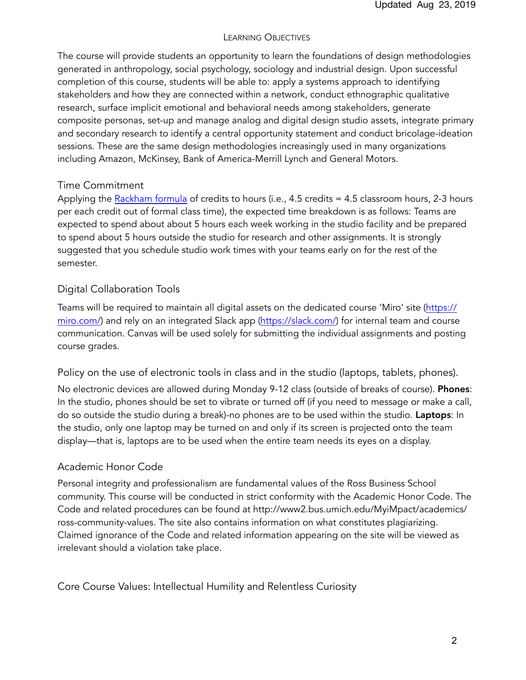## LEARNING OBJECTIVES

The course will provide students an opportunity to learn the foundations of design methodologies generated in anthropology, social psychology, sociology and industrial design. Upon successful completion of this course, students will be able to: apply a systems approach to identifying stakeholders and how they are connected within a network, conduct ethnographic qualitative research, surface implicit emotional and behavioral needs among stakeholders, generate composite personas, set-up and manage analog and digital design studio assets, integrate primary and secondary research to identify a central opportunity statement and conduct bricolage-ideation sessions. These are the same design methodologies increasingly used in many organizations including Amazon, McKinsey, Bank of America-Merrill Lynch and General Motors.

# Time Commitment

Applying the [Rackham formula](https://rackham.umich.edu/faculty-and-staff/resources-for-directors/guidelines-for-graduate-course-approval/assignment-of-credit-hours/) of credits to hours (i.e., 4.5 credits = 4.5 classroom hours, 2-3 hours per each credit out of formal class time), the expected time breakdown is as follows: Teams are expected to spend about about 5 hours each week working in the studio facility and be prepared to spend about 5 hours outside the studio for research and other assignments. It is strongly suggested that you schedule studio work times with your teams early on for the rest of the semester.

# Digital Collaboration Tools

Teams will be required to maintain all digital assets on the dedicated course 'Miro' site ([https://](https://realtimeboard.com/) [miro.com/](https://realtimeboard.com/)) and rely on an integrated Slack app [\(https://slack.com/](https://slack.com/)) for internal team and course communication. Canvas will be used solely for submitting the individual assignments and posting course grades.

Policy on the use of electronic tools in class and in the studio (laptops, tablets, phones).

No electronic devices are allowed during Monday 9-12 class (outside of breaks of course). Phones: In the studio, phones should be set to vibrate or turned off (if you need to message or make a call, do so outside the studio during a break)-no phones are to be used within the studio. Laptops: In the studio, only one laptop may be turned on and only if its screen is projected onto the team display—that is, laptops are to be used when the entire team needs its eyes on a display.

# Academic Honor Code

Personal integrity and professionalism are fundamental values of the Ross Business School community. This course will be conducted in strict conformity with the Academic Honor Code. The Code and related procedures can be found at http://www2.bus.umich.edu/MyiMpact/academics/ ross-community-values. The site also contains information on what constitutes plagiarizing. Claimed ignorance of the Code and related information appearing on the site will be viewed as irrelevant should a violation take place.

Core Course Values: Intellectual Humility and Relentless Curiosity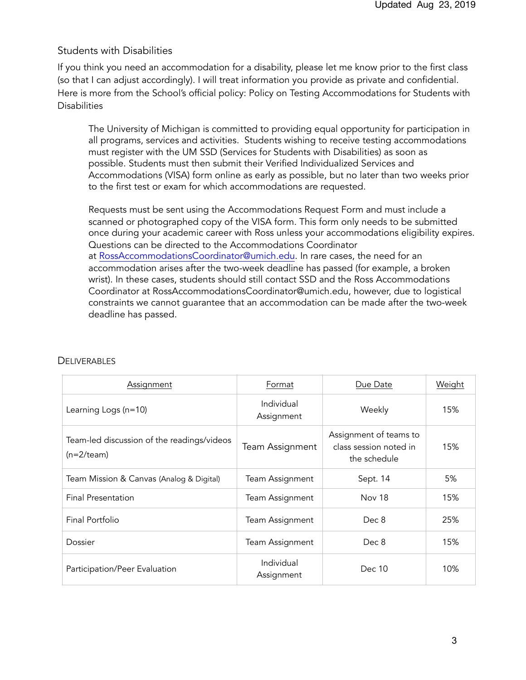## Students with Disabilities

If you think you need an accommodation for a disability, please let me know prior to the first class (so that I can adjust accordingly). I will treat information you provide as private and confidential. Here is more from the School's official policy: Policy on Testing Accommodations for Students with **Disabilities** 

The University of Michigan is committed to providing equal opportunity for participation in all programs, services and activities. Students wishing to receive testing accommodations must register with the UM SSD (Services for Students with Disabilities) as soon as possible. Students must then submit their Verified Individualized Services and Accommodations (VISA) form online as early as possible, but no later than two weeks prior to the first test or exam for which accommodations are requested.

Requests must be sent using the Accommodations Request Form and must include a scanned or photographed copy of the VISA form. This form only needs to be submitted once during your academic career with Ross unless your accommodations eligibility expires. Questions can be directed to the Accommodations Coordinator at [RossAccommodationsCoordinator@umich.edu](mailto:RossAccommodationsCoordinator@umich.edu). In rare cases, the need for an accommodation arises after the two-week deadline has passed (for example, a broken wrist). In these cases, students should still contact SSD and the Ross Accommodations Coordinator at RossAccommodationsCoordinator@umich.edu, however, due to logistical constraints we cannot guarantee that an accommodation can be made after the two-week deadline has passed.

| Assignment                                                  | Format                   | Due Date                                                         | Weight |
|-------------------------------------------------------------|--------------------------|------------------------------------------------------------------|--------|
| Learning Logs $(n=10)$                                      | Individual<br>Assignment | Weekly                                                           | 15%    |
| Team-led discussion of the readings/videos<br>$(n=2$ /team) | Team Assignment          | Assignment of teams to<br>class session noted in<br>the schedule | 15%    |
| Team Mission & Canvas (Analog & Digital)                    | Team Assignment          | Sept. 14                                                         | 5%     |
| Final Presentation                                          | Team Assignment          | <b>Nov 18</b>                                                    | 15%    |
| Final Portfolio                                             | Team Assignment          | Dec 8                                                            | 25%    |
| Dossier                                                     | Team Assignment          | Dec 8                                                            | 15%    |
| Participation/Peer Evaluation                               | Individual<br>Assignment | Dec 10                                                           | 10%    |

#### DELIVERABLES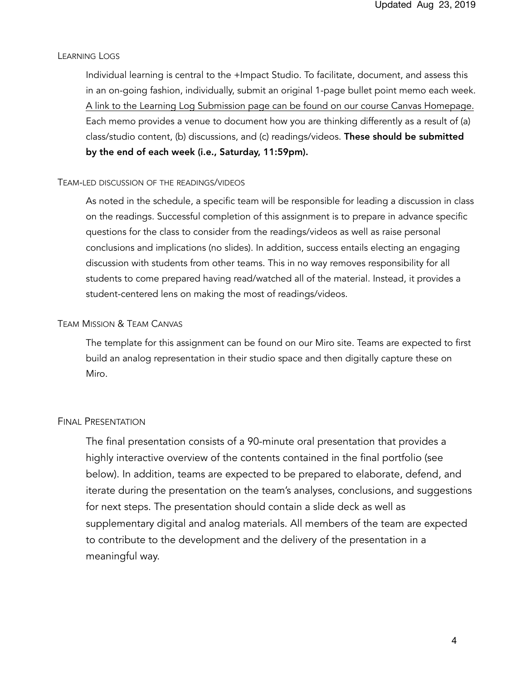#### LEARNING LOGS

Individual learning is central to the +Impact Studio. To facilitate, document, and assess this in an on-going fashion, individually, submit an original 1-page bullet point memo each week. A link to the Learning Log Submission page can be found on our course Canvas Homepage. Each memo provides a venue to document how you are thinking differently as a result of (a) class/studio content, (b) discussions, and (c) readings/videos. These should be submitted by the end of each week (i.e., Saturday, 11:59pm).

#### TEAM-LED DISCUSSION OF THE READINGS/VIDEOS

As noted in the schedule, a specific team will be responsible for leading a discussion in class on the readings. Successful completion of this assignment is to prepare in advance specific questions for the class to consider from the readings/videos as well as raise personal conclusions and implications (no slides). In addition, success entails electing an engaging discussion with students from other teams. This in no way removes responsibility for all students to come prepared having read/watched all of the material. Instead, it provides a student-centered lens on making the most of readings/videos.

#### TEAM MISSION & TEAM CANVAS

The template for this assignment can be found on our Miro site. Teams are expected to first build an analog representation in their studio space and then digitally capture these on Miro.

#### FINAL PRESENTATION

The final presentation consists of a 90-minute oral presentation that provides a highly interactive overview of the contents contained in the final portfolio (see below). In addition, teams are expected to be prepared to elaborate, defend, and iterate during the presentation on the team's analyses, conclusions, and suggestions for next steps. The presentation should contain a slide deck as well as supplementary digital and analog materials. All members of the team are expected to contribute to the development and the delivery of the presentation in a meaningful way.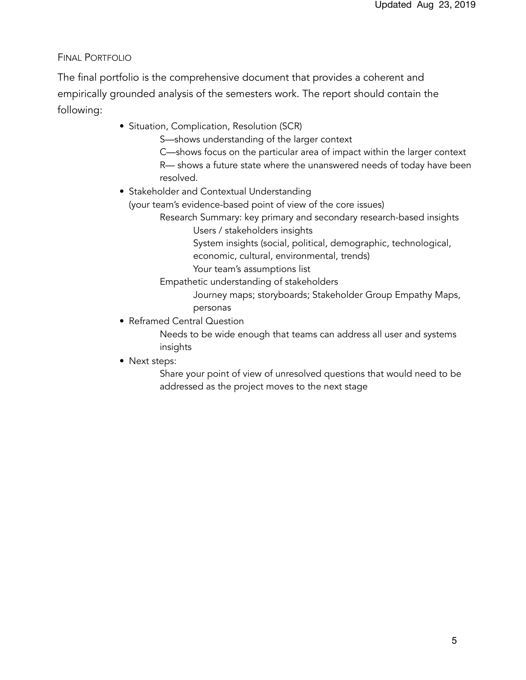# FINAL PORTFOLIO

The final portfolio is the comprehensive document that provides a coherent and empirically grounded analysis of the semesters work. The report should contain the following:

- **•** Situation, Complication, Resolution (SCR)
	- S—shows understanding of the larger context
	- C—shows focus on the particular area of impact within the larger context R— shows a future state where the unanswered needs of today have been resolved.
- Stakeholder and Contextual Understanding
	- (your team's evidence-based point of view of the core issues)
		- Research Summary: key primary and secondary research-based insights
			- Users / stakeholders insights
			- System insights (social, political, demographic, technological,
			- economic, cultural, environmental, trends)
			- Your team's assumptions list
		- Empathetic understanding of stakeholders
			- Journey maps; storyboards; Stakeholder Group Empathy Maps, personas
- **•** Reframed Central Question
	- Needs to be wide enough that teams can address all user and systems insights
- **•** Next steps:

Share your point of view of unresolved questions that would need to be addressed as the project moves to the next stage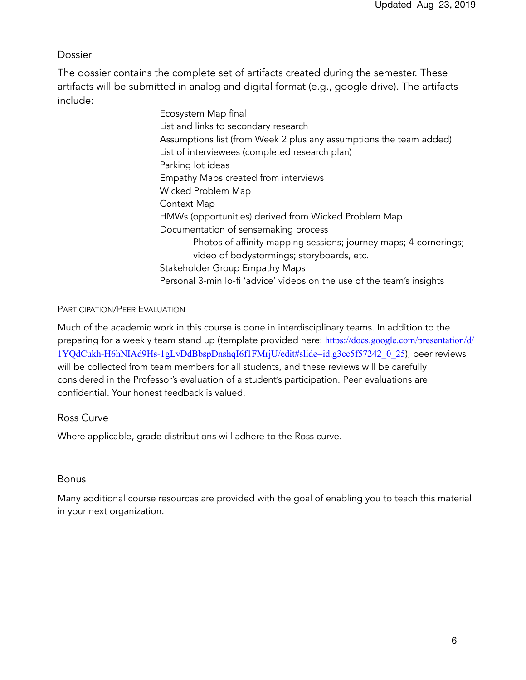# Dossier

The dossier contains the complete set of artifacts created during the semester. These artifacts will be submitted in analog and digital format (e.g., google drive). The artifacts include:

> Ecosystem Map final List and links to secondary research Assumptions list (from Week 2 plus any assumptions the team added) List of interviewees (completed research plan) Parking lot ideas Empathy Maps created from interviews Wicked Problem Map Context Map HMWs (opportunities) derived from Wicked Problem Map Documentation of sensemaking process Photos of affinity mapping sessions; journey maps; 4-cornerings; video of bodystormings; storyboards, etc. Stakeholder Group Empathy Maps Personal 3-min lo-fi 'advice' videos on the use of the team's insights

# PARTICIPATION/PEER EVALUATION

Much of the academic work in this course is done in interdisciplinary teams. In addition to the preparing for a weekly team stand up (template provided here: [https://docs.google.com/presentation/d/](https://docs.google.com/presentation/d/1YQdCukh-H6hNIAd9Hs-1gLvDdBbspDnshqI6f1FMrjU/edit#slide=id.g3cc5f57242_0_25) [1YQdCukh-H6hNIAd9Hs-1gLvDdBbspDnshqI6f1FMrjU/edit#slide=id.g3cc5f57242\\_0\\_25](https://docs.google.com/presentation/d/1YQdCukh-H6hNIAd9Hs-1gLvDdBbspDnshqI6f1FMrjU/edit#slide=id.g3cc5f57242_0_25)), peer reviews will be collected from team members for all students, and these reviews will be carefully considered in the Professor's evaluation of a student's participation. Peer evaluations are confidential. Your honest feedback is valued.

# Ross Curve

Where applicable, grade distributions will adhere to the Ross curve.

# Bonus

Many additional course resources are provided with the goal of enabling you to teach this material in your next organization.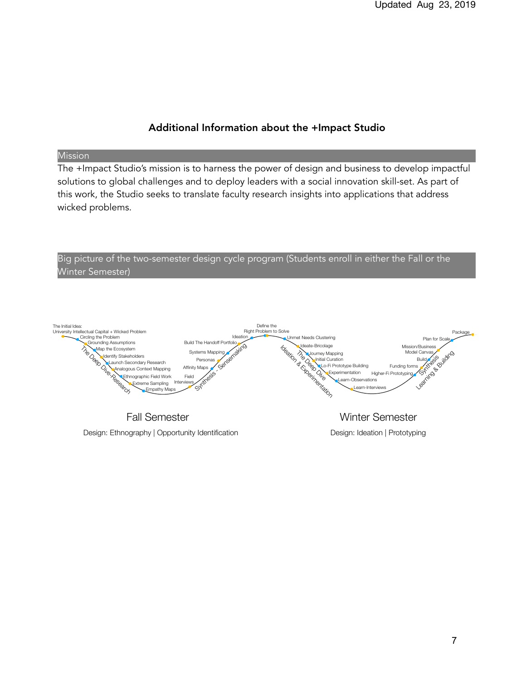# Additional Information about the +Impact Studio

#### Mission

The +Impact Studio's mission is to harness the power of design and business to develop impactful solutions to global challenges and to deploy leaders with a social innovation skill-set. As part of this work, the Studio seeks to translate faculty research insights into applications that address wicked problems.



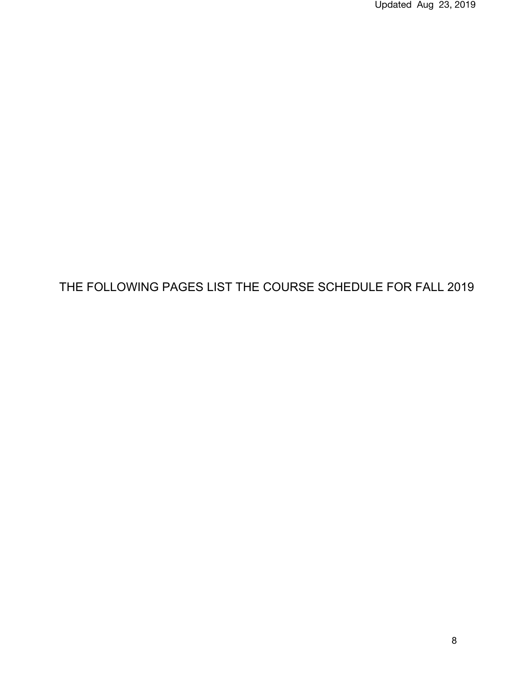Updated Aug 23, 2019

# THE FOLLOWING PAGES LIST THE COURSE SCHEDULE FOR FALL 2019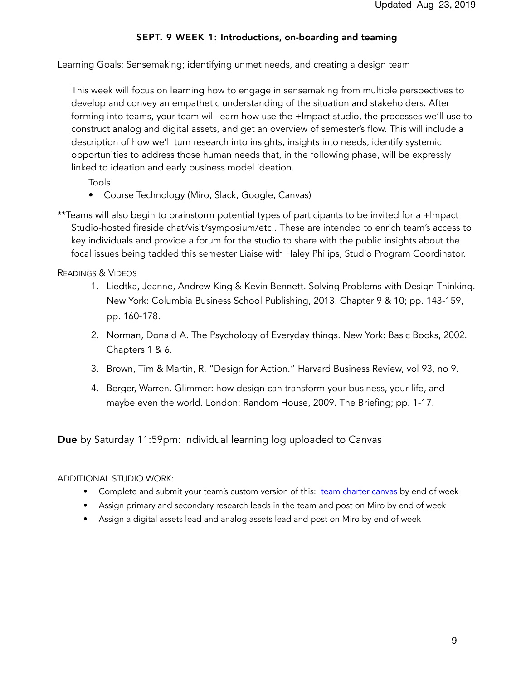# SEPT. 9 WEEK 1: Introductions, on-boarding and teaming

Learning Goals: Sensemaking; identifying unmet needs, and creating a design team

 This week will focus on learning how to engage in sensemaking from multiple perspectives to develop and convey an empathetic understanding of the situation and stakeholders. After forming into teams, your team will learn how use the +Impact studio, the processes we'll use to construct analog and digital assets, and get an overview of semester's flow. This will include a description of how we'll turn research into insights, insights into needs, identify systemic opportunities to address those human needs that, in the following phase, will be expressly linked to ideation and early business model ideation.

Tools

- Course Technology (Miro, Slack, Google, Canvas)
- \*\*Teams will also begin to brainstorm potential types of participants to be invited for a +Impact Studio-hosted fireside chat/visit/symposium/etc.. These are intended to enrich team's access to key individuals and provide a forum for the studio to share with the public insights about the focal issues being tackled this semester Liaise with Haley Philips, Studio Program Coordinator.

READINGS & VIDEOS

- 1. Liedtka, Jeanne, Andrew King & Kevin Bennett. Solving Problems with Design Thinking. New York: Columbia Business School Publishing, 2013. Chapter 9 & 10; pp. 143-159, pp. 160-178.
- 2. Norman, Donald A. The Psychology of Everyday things. New York: Basic Books, 2002. Chapters 1 & 6.
- 3. Brown, Tim & Martin, R. "Design for Action." Harvard Business Review, vol 93, no 9.
- 4. Berger, Warren. Glimmer: how design can transform your business, your life, and maybe even the world. London: Random House, 2009. The Briefing; pp. 1-17.

Due by Saturday 11:59pm: Individual learning log uploaded to Canvas

## ADDITIONAL STUDIO WORK:

- Complete and submit your team's custom version of this: [team charter canvas](https://drive.google.com/file/d/1UzRuRxboXAhT9NRvIKuNTJ3-t2gMtrWx/view?usp=sharing) by end of week
- **•** Assign primary and secondary research leads in the team and post on Miro by end of week
- **•** Assign a digital assets lead and analog assets lead and post on Miro by end of week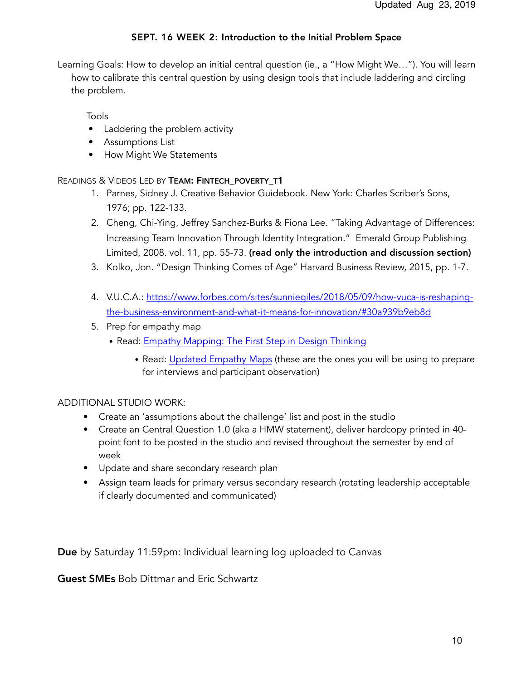# SEPT. 16 WEEK 2: Introduction to the Initial Problem Space

Learning Goals: How to develop an initial central question (ie., a "How Might We…"). You will learn how to calibrate this central question by using design tools that include laddering and circling the problem.

Tools

- Laddering the problem activity
- Assumptions List
- How Might We Statements

## READINGS & VIDEOS LED BY TEAM: FINTECH POVERTY T1

- 1. Parnes, Sidney J. Creative Behavior Guidebook. New York: Charles Scriber's Sons, 1976; pp. 122-133.
- 2. Cheng, Chi-Ying, Jeffrey Sanchez-Burks & Fiona Lee. "Taking Advantage of Differences: Increasing Team Innovation Through Identity Integration." Emerald Group Publishing Limited, 2008. vol. 11, pp. 55-73. (read only the introduction and discussion section)
- 3. Kolko, Jon. "Design Thinking Comes of Age" Harvard Business Review, 2015, pp. 1-7.
- 4. V.U.C.A.: [https://www.forbes.com/sites/sunniegiles/2018/05/09/how-vuca-is-reshaping](https://www.forbes.com/sites/sunniegiles/2018/05/09/how-vuca-is-reshaping-the-business-environment-and-what-it-means-for-innovation/#30a939b9eb8d)[the-business-environment-and-what-it-means-for-innovation/#30a939b9eb8d](https://www.forbes.com/sites/sunniegiles/2018/05/09/how-vuca-is-reshaping-the-business-environment-and-what-it-means-for-innovation/#30a939b9eb8d)
- 5. Prep for empathy map
	- Read: [Empathy Mapping: The First Step in Design Thinking](https://www.nngroup.com/articles/empathy-mapping/)
		- Read: [Updated Empathy Maps](https://medium.com/the-xplane-collection/updated-empathy-map-canvas-46df22df3c8a) (these are the ones you will be using to prepare for interviews and participant observation)

## ADDITIONAL STUDIO WORK:

- Create an 'assumptions about the challenge' list and post in the studio
- Create an Central Question 1.0 (aka a HMW statement), deliver hardcopy printed in 40 point font to be posted in the studio and revised throughout the semester by end of week
- Update and share secondary research plan
- Assign team leads for primary versus secondary research (rotating leadership acceptable if clearly documented and communicated)

Due by Saturday 11:59pm: Individual learning log uploaded to Canvas

Guest SMEs Bob Dittmar and Eric Schwartz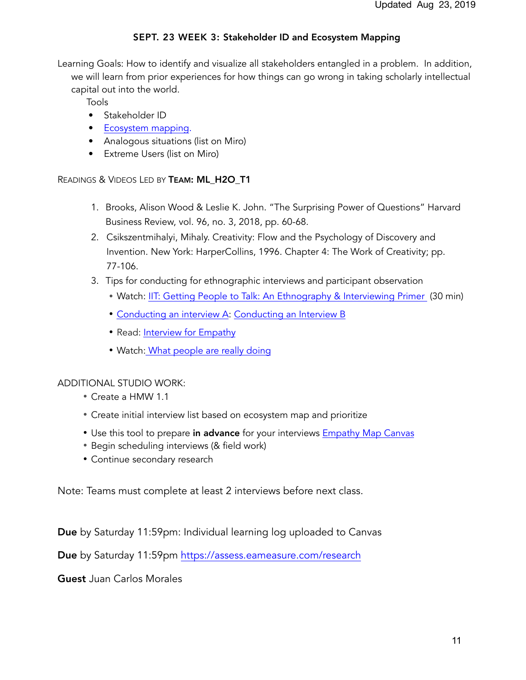# SEPT. 23 WEEK 3: Stakeholder ID and Ecosystem Mapping

Learning Goals: How to identify and visualize all stakeholders entangled in a problem. In addition, we will learn from prior experiences for how things can go wrong in taking scholarly intellectual capital out into the world.

Tools

- Stakeholder ID
- [Ecosystem mapping](https://docs.google.com/document/d/1vdTv_Y4z3Fc1bPggzF7Gp0nuwMoqLhz8muSp5LJkbF4/edit).
- Analogous situations (list on Miro)
- Extreme Users (list on Miro)

#### READINGS & VIDEOS LED BY TEAM: ML\_H2O\_T1

- 1. Brooks, Alison Wood & Leslie K. John. "The Surprising Power of Questions" Harvard Business Review, vol. 96, no. 3, 2018, pp. 60-68.
- 2. Csikszentmihalyi, Mihaly. Creativity: Flow and the Psychology of Discovery and Invention. New York: HarperCollins, 1996. Chapter 4: The Work of Creativity; pp. 77-106.
- 3. Tips for conducting for ethnographic interviews and participant observation
	- Watch: [IIT: Getting People to Talk: An Ethnography & Interviewing Primer](https://vimeo.com/1269848) (30 min)
	- [Conducting an interview A](https://www.interaction-design.org/literature/article/how-to-conduct-user-interviews): [Conducting an Interview B](https://medium.springboard.com/the-art-of-the-user-interview-cf40d1ca62e8)
	- Read: [Interview for Empathy](https://drive.google.com/file/d/19Zz5smAh9e_q5Y6KI7YsRQgSOnfg8SP6/view?usp=sharing)
	- Watch: [What people are really doing](https://vimeo.com/7099570)

## ADDITIONAL STUDIO WORK:

- Create a HMW 1.1
- Create initial interview list based on ecosystem map and prioritize
- Use this tool to prepare in advance for your interviews [Empathy Map Canvas](https://drive.google.com/file/d/1epvksvYuAUHzS7BjO1rCNGcKUdtjRQ5j/view?usp=sharing)
- Begin scheduling interviews (& field work)
- Continue secondary research

Note: Teams must complete at least 2 interviews before next class.

Due by Saturday 11:59pm: Individual learning log uploaded to Canvas

Due by Saturday 11:59pm <https://assess.eameasure.com/research>

Guest Juan Carlos Morales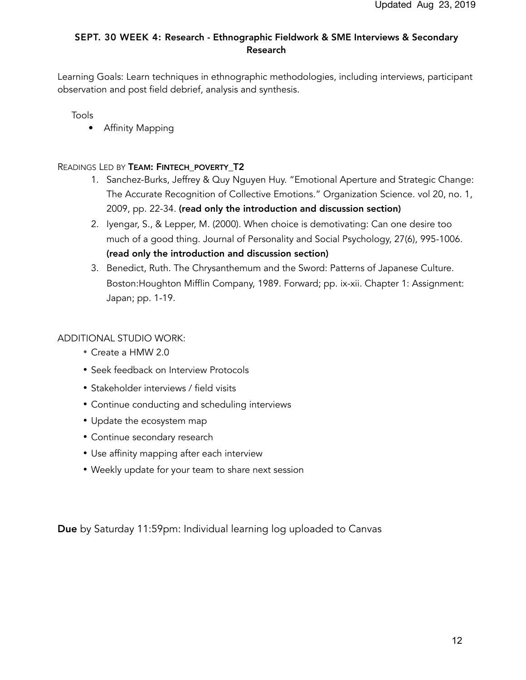# SEPT. 30 WEEK 4: Research - Ethnographic Fieldwork & SME Interviews & Secondary Research

Learning Goals: Learn techniques in ethnographic methodologies, including interviews, participant observation and post field debrief, analysis and synthesis.

Tools

• Affinity Mapping

READINGS LED BY TEAM: FINTECH POVERTY T2

- 1. Sanchez-Burks, Jeffrey & Quy Nguyen Huy. "Emotional Aperture and Strategic Change: The Accurate Recognition of Collective Emotions." Organization Science. vol 20, no. 1, 2009, pp. 22-34. (read only the introduction and discussion section)
- 2. Iyengar, S., & Lepper, M. (2000). When choice is demotivating: Can one desire too much of a good thing. Journal of Personality and Social Psychology, 27(6), 995-1006. (read only the introduction and discussion section)
- 3. Benedict, Ruth. The Chrysanthemum and the Sword: Patterns of Japanese Culture. Boston:Houghton Mifflin Company, 1989. Forward; pp. ix-xii. Chapter 1: Assignment: Japan; pp. 1-19.

## ADDITIONAL STUDIO WORK:

- Create a HMW 2.0
- **•** Seek feedback on Interview Protocols
- **•** Stakeholder interviews / field visits
- **•** Continue conducting and scheduling interviews
- **•** Update the ecosystem map
- **•** Continue secondary research
- **•** Use affinity mapping after each interview
- **•** Weekly update for your team to share next session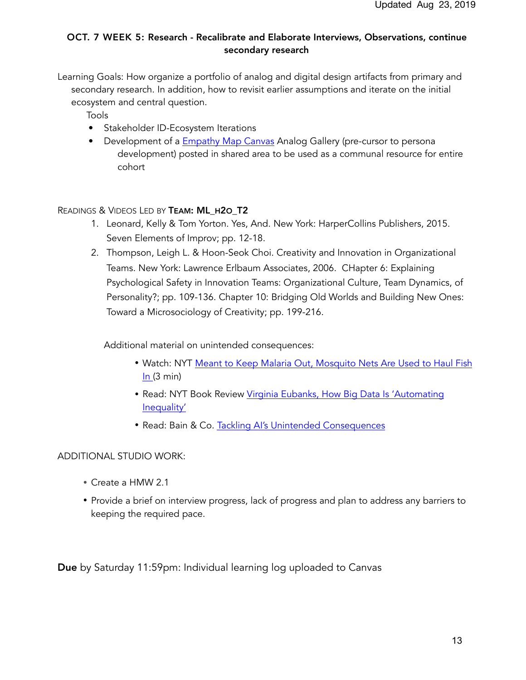# OCT. 7 WEEK 5: Research - Recalibrate and Elaborate Interviews, Observations, continue secondary research

- Learning Goals: How organize a portfolio of analog and digital design artifacts from primary and secondary research. In addition, how to revisit earlier assumptions and iterate on the initial ecosystem and central question.
	- Tools
	- Stakeholder ID-Ecosystem Iterations
	- Development of a [Empathy Map Canvas](https://drive.google.com/file/d/1epvksvYuAUHzS7BjO1rCNGcKUdtjRQ5j/view?usp=sharing) Analog Gallery (pre-cursor to persona development) posted in shared area to be used as a communal resource for entire cohort

## READINGS & VIDEOS LED BY TEAM: ML H2O T2

- 1. Leonard, Kelly & Tom Yorton. Yes, And. New York: HarperCollins Publishers, 2015. Seven Elements of Improv; pp. 12-18.
- 2. Thompson, Leigh L. & Hoon-Seok Choi. Creativity and Innovation in Organizational Teams. New York: Lawrence Erlbaum Associates, 2006. CHapter 6: Explaining Psychological Safety in Innovation Teams: Organizational Culture, Team Dynamics, of Personality?; pp. 109-136. Chapter 10: Bridging Old Worlds and Building New Ones: Toward a Microsociology of Creativity; pp. 199-216.

Additional material on unintended consequences:

- Watch: NYT [Meant to Keep Malaria Out, Mosquito Nets Are Used to Haul Fish](https://www.nytimes.com/2015/01/25/world/africa/mosquito-nets-for-malaria-spawn-new-epidemic-overfishing.html)   $In (3 min)$  $In (3 min)$
- Read: NYT Book Review [Virginia Eubanks, How Big Data Is 'Automating](https://www.nytimes.com/2018/05/04/books/review/automating-inequality-virginia-eubanks.html)  [Inequality'](https://www.nytimes.com/2018/05/04/books/review/automating-inequality-virginia-eubanks.html)
- Read: Bain & Co. [Tackling AI's Unintended Consequences](https://www.bain.com/insights/tackling-ais-unintended-consequences/)

## ADDITIONAL STUDIO WORK:

- Create a HMW 2.1
- Provide a brief on interview progress, lack of progress and plan to address any barriers to keeping the required pace.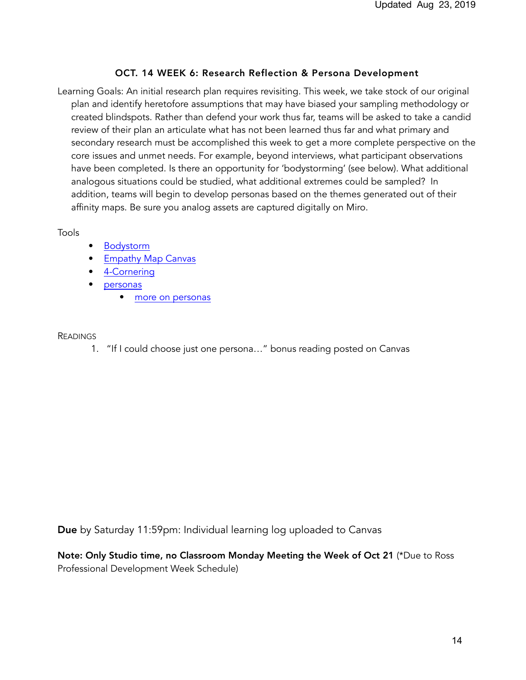## OCT. 14 WEEK 6: Research Reflection & Persona Development

Learning Goals: An initial research plan requires revisiting. This week, we take stock of our original plan and identify heretofore assumptions that may have biased your sampling methodology or created blindspots. Rather than defend your work thus far, teams will be asked to take a candid review of their plan an articulate what has not been learned thus far and what primary and secondary research must be accomplished this week to get a more complete perspective on the core issues and unmet needs. For example, beyond interviews, what participant observations have been completed. Is there an opportunity for 'bodystorming' (see below). What additional analogous situations could be studied, what additional extremes could be sampled? In addition, teams will begin to develop personas based on the themes generated out of their affinity maps. Be sure you analog assets are captured digitally on Miro.

Tools

- **[Bodystorm](https://www.youtube.com/watch?v=BJJrJr2bc30)**
- **[Empathy Map Canvas](https://drive.google.com/file/d/1epvksvYuAUHzS7BjO1rCNGcKUdtjRQ5j/view?usp=sharing)**
- [4-Cornering](https://drive.google.com/file/d/1mjs_5YrlexMJoxsOR4BsGN0685a4yeJs/view?usp=sharing)
- [personas](https://www.google.com/search?q=persona+examples&client=safari&rls=en&tbm=isch&tbo=u&source=univ&sa=X&ved=2ahUKEwiWh8nUm6PfAhVHeawKHVywBKIQsAR6BAgFEAE&biw=1440&bih=770)
	- [more on personas](https://app.xtensio.com/folio/knap8110?_ga=2.5849011.1275107656.1545057275-31664381.1544926576)

#### READINGS

1. "If I could choose just one persona…" bonus reading posted on Canvas

Due by Saturday 11:59pm: Individual learning log uploaded to Canvas

Note: Only Studio time, no Classroom Monday Meeting the Week of Oct 21 (\*Due to Ross Professional Development Week Schedule)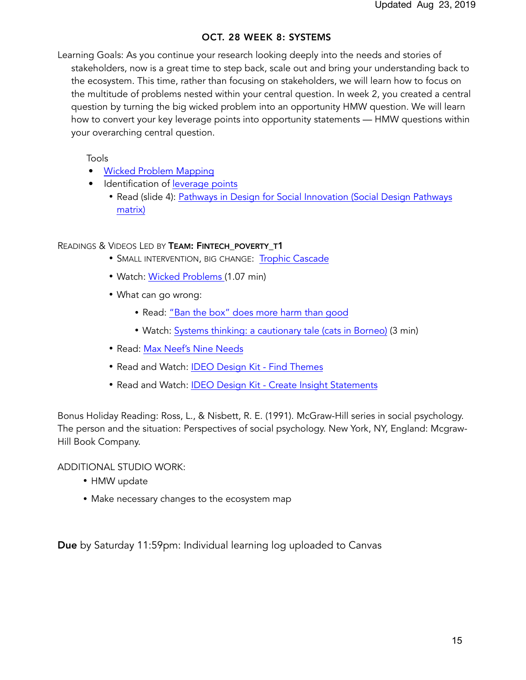## OCT. 28 WEEK 8: SYSTEMS

Learning Goals: As you continue your research looking deeply into the needs and stories of stakeholders, now is a great time to step back, scale out and bring your understanding back to the ecosystem. This time, rather than focusing on stakeholders, we will learn how to focus on the multitude of problems nested within your central question. In week 2, you created a central question by turning the big wicked problem into an opportunity HMW question. We will learn how to convert your key leverage points into opportunity statements — HMW questions within your overarching central question.

Tools

- [Wicked Problem Mapping](https://transitiondesignseminarcmu.net/assignments/#1483987943689-016372b2-8b49)
- Identification of [leverage points](https://en.wikipedia.org/wiki/Twelve_leverage_points)
	- Read (slide 4): [Pathways in Design for Social Innovation \(Social Design Pathways](https://drive.google.com/file/d/1RIsrCBrwbQscdmyeAIiWam8JzL6hqT39/view?usp=sharing)  [matrix\)](https://drive.google.com/file/d/1RIsrCBrwbQscdmyeAIiWam8JzL6hqT39/view?usp=sharing)

## READINGS & VIDEOS LED BY TEAM: FINTECH\_POVERTY\_T1

- SMALL INTERVENTION, BIG CHANGE: [Trophic Cascade](https://www.youtube.com/watch?time_continue=246&v=ysa5OBhXz-Q)
- Watch: [Wicked Problems](https://www.youtube.com/watch?v=lOKpB4KtUZ8) (1.07 min)
- What can go wrong:
	- Read: ["Ban the box" does more harm than good](https://www.brookings.edu/opinions/ban-the-box-does-more-harm-than-good/)
	- Watch: [Systems thinking: a cautionary tale \(cats in Borneo\)](https://www.youtube.com/watch?v=17BP9n6g1F0) (3 min)
- Read: [Max Neef's Nine Needs](https://en.wikipedia.org/wiki/Fundamental_human_needs)
- Read and Watch: [IDEO Design Kit Find Themes](http://www.designkit.org/methods/5)
- Read and Watch: [IDEO Design Kit Create Insight Statements](http://www.designkit.org/methods/62)

Bonus Holiday Reading: Ross, L., & Nisbett, R. E. (1991). McGraw-Hill series in social psychology. The person and the situation: Perspectives of social psychology. New York, NY, England: Mcgraw-Hill Book Company.

ADDITIONAL STUDIO WORK:

- HMW update
- Make necessary changes to the ecosystem map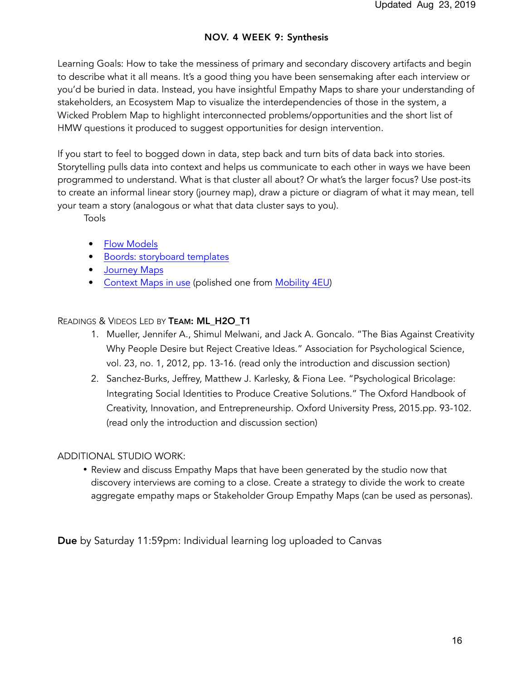# NOV. 4 WEEK 9: Synthesis

Learning Goals: How to take the messiness of primary and secondary discovery artifacts and begin to describe what it all means. It's a good thing you have been sensemaking after each interview or you'd be buried in data. Instead, you have insightful Empathy Maps to share your understanding of stakeholders, an Ecosystem Map to visualize the interdependencies of those in the system, a Wicked Problem Map to highlight interconnected problems/opportunities and the short list of HMW questions it produced to suggest opportunities for design intervention.

If you start to feel to bogged down in data, step back and turn bits of data back into stories. Storytelling pulls data into context and helps us communicate to each other in ways we have been programmed to understand. What is that cluster all about? Or what's the larger focus? Use post-its to create an informal linear story (journey map), draw a picture or diagram of what it may mean, tell your team a story (analogous or what that data cluster says to you).

Tools

- [Flow Models](https://drive.google.com/file/d/1pyx1IDuFzl6R1cqD8vqFhiDk0sIskBx_/view?usp=sharing)
- [Boords: storyboard templates](https://boords.com/storyboard-template)
- [Journey Maps](https://www.google.com/search?q=journey+map+examples&client=safari&rls=en&tbm=isch&tbo=u&source=univ&sa=X&ved=2ahUKEwjyoPmVm6PfAhUEna0KHVmRAdEQsAR6BAgDEAE&biw=1440&bih=770)
- [Context Maps in use](https://designabetterbusiness.com/2017/09/14/drives-mobility-market-2017/) (polished one from [Mobility 4EU\)](https://www.mobility4eu.eu/news/trends-drivers-technology-future-mobility-europe/)

## READINGS & VIDEOS LED BY TEAM: ML\_H2O\_T1

- 1. Mueller, Jennifer A., Shimul Melwani, and Jack A. Goncalo. "The Bias Against Creativity Why People Desire but Reject Creative Ideas." Association for Psychological Science, vol. 23, no. 1, 2012, pp. 13-16. (read only the introduction and discussion section)
- 2. Sanchez-Burks, Jeffrey, Matthew J. Karlesky, & Fiona Lee. "Psychological Bricolage: Integrating Social Identities to Produce Creative Solutions." The Oxford Handbook of Creativity, Innovation, and Entrepreneurship. Oxford University Press, 2015.pp. 93-102. (read only the introduction and discussion section)

#### ADDITIONAL STUDIO WORK:

**•** Review and discuss Empathy Maps that have been generated by the studio now that discovery interviews are coming to a close. Create a strategy to divide the work to create aggregate empathy maps or Stakeholder Group Empathy Maps (can be used as personas).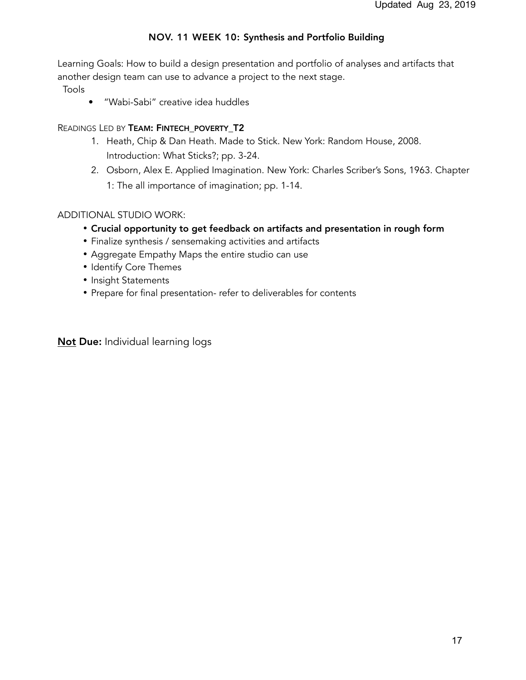# NOV. 11 WEEK 10: Synthesis and Portfolio Building

Learning Goals: How to build a design presentation and portfolio of analyses and artifacts that another design team can use to advance a project to the next stage.

Tools

• "Wabi-Sabi" creative idea huddles

## READINGS LED BY TEAM: FINTECH POVERTY T2

- 1. Heath, Chip & Dan Heath. Made to Stick. New York: Random House, 2008. Introduction: What Sticks?; pp. 3-24.
- 2. Osborn, Alex E. Applied Imagination. New York: Charles Scriber's Sons, 1963. Chapter 1: The all importance of imagination; pp. 1-14.

# ADDITIONAL STUDIO WORK:

- Crucial opportunity to get feedback on artifacts and presentation in rough form
- **•** Finalize synthesis / sensemaking activities and artifacts
- Aggregate Empathy Maps the entire studio can use
- Identify Core Themes
- Insight Statements
- **•** Prepare for final presentation- refer to deliverables for contents

Not Due: Individual learning logs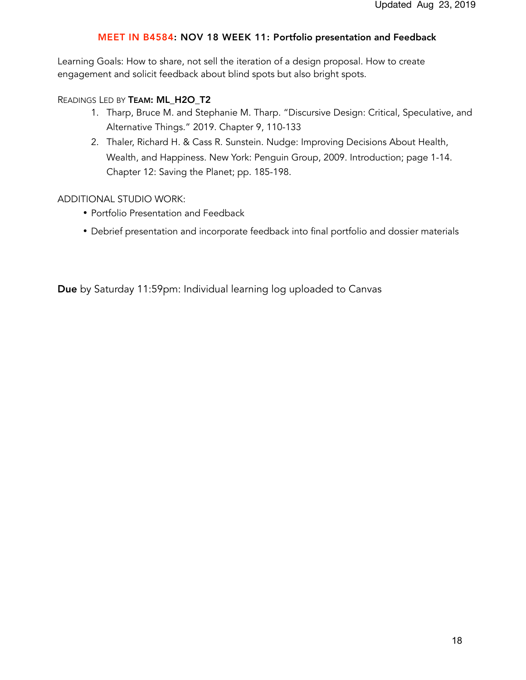#### MEET IN B4584: NOV 18 WEEK 11: Portfolio presentation and Feedback

Learning Goals: How to share, not sell the iteration of a design proposal. How to create engagement and solicit feedback about blind spots but also bright spots.

#### READINGS LED BY TEAM: ML H2O T2

- 1. Tharp, Bruce M. and Stephanie M. Tharp. "Discursive Design: Critical, Speculative, and Alternative Things." 2019. Chapter 9, 110-133
- 2. Thaler, Richard H. & Cass R. Sunstein. Nudge: Improving Decisions About Health, Wealth, and Happiness. New York: Penguin Group, 2009. Introduction; page 1-14. Chapter 12: Saving the Planet; pp. 185-198.

#### ADDITIONAL STUDIO WORK:

- Portfolio Presentation and Feedback
- Debrief presentation and incorporate feedback into final portfolio and dossier materials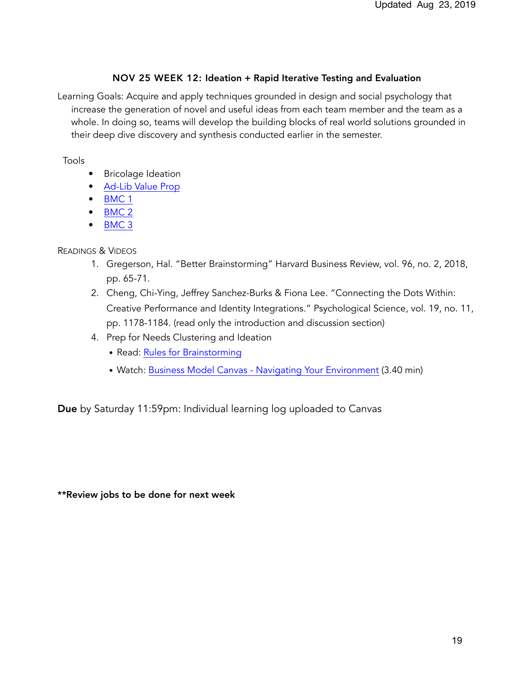## NOV 25 WEEK 12: Ideation + Rapid Iterative Testing and Evaluation

Learning Goals: Acquire and apply techniques grounded in design and social psychology that increase the generation of novel and useful ideas from each team member and the team as a whole. In doing so, teams will develop the building blocks of real world solutions grounded in their deep dive discovery and synthesis conducted earlier in the semester.

## Tools

- Bricolage Ideation
- [Ad-Lib Value Prop](https://drive.google.com/file/d/1FLkXA0hMF_eWn-xH-ghzTOOkmnZPrSH-/view)
- [BMC 1](https://isaacjeffries.com/blog/2017/3/3/bmc-part-one-how-to-use-the-business-model-canvas)
- [BMC 2](https://www.youtube.com/watch?v=IP0cUBWTgpY)
- [BMC 3](https://www.huffpost.com/entry/the-mission-model-canvas_b_9298440)

# READINGS & VIDEOS

- 1. Gregerson, Hal. "Better Brainstorming" Harvard Business Review, vol. 96, no. 2, 2018, pp. 65-71.
- 2. Cheng, Chi-Ying, Jeffrey Sanchez-Burks & Fiona Lee. "Connecting the Dots Within: Creative Performance and Identity Integrations." Psychological Science, vol. 19, no. 11, pp. 1178-1184. (read only the introduction and discussion section)
- 4. Prep for Needs Clustering and Ideation
	- Read: [Rules for Brainstorming](https://drive.google.com/open?id=1-WzB1WlOdVY0S_Md98Dietg0xKn6FcS9)
	- Watch: [Business Model Canvas Navigating Your Environment](https://www.youtube.com/watch?v=UlP-vdUdAr8) (3.40 min)

Due by Saturday 11:59pm: Individual learning log uploaded to Canvas

\*\*Review jobs to be done for next week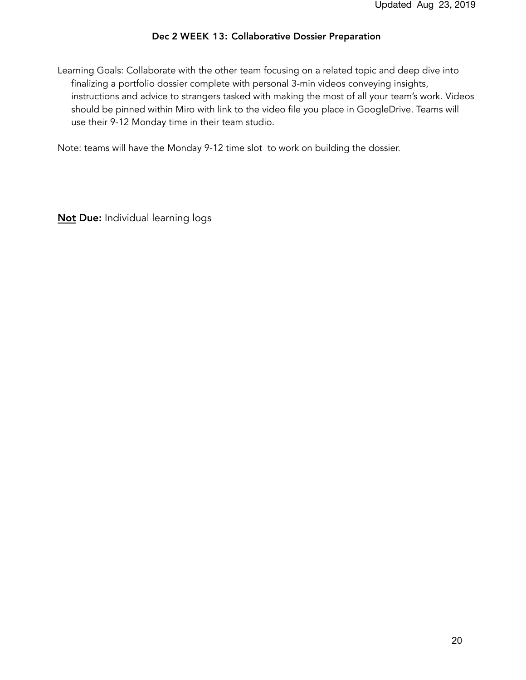#### Dec 2 WEEK 13: Collaborative Dossier Preparation

Learning Goals: Collaborate with the other team focusing on a related topic and deep dive into finalizing a portfolio dossier complete with personal 3-min videos conveying insights, instructions and advice to strangers tasked with making the most of all your team's work. Videos should be pinned within Miro with link to the video file you place in GoogleDrive. Teams will use their 9-12 Monday time in their team studio.

Note: teams will have the Monday 9-12 time slot to work on building the dossier.

Not Due: Individual learning logs